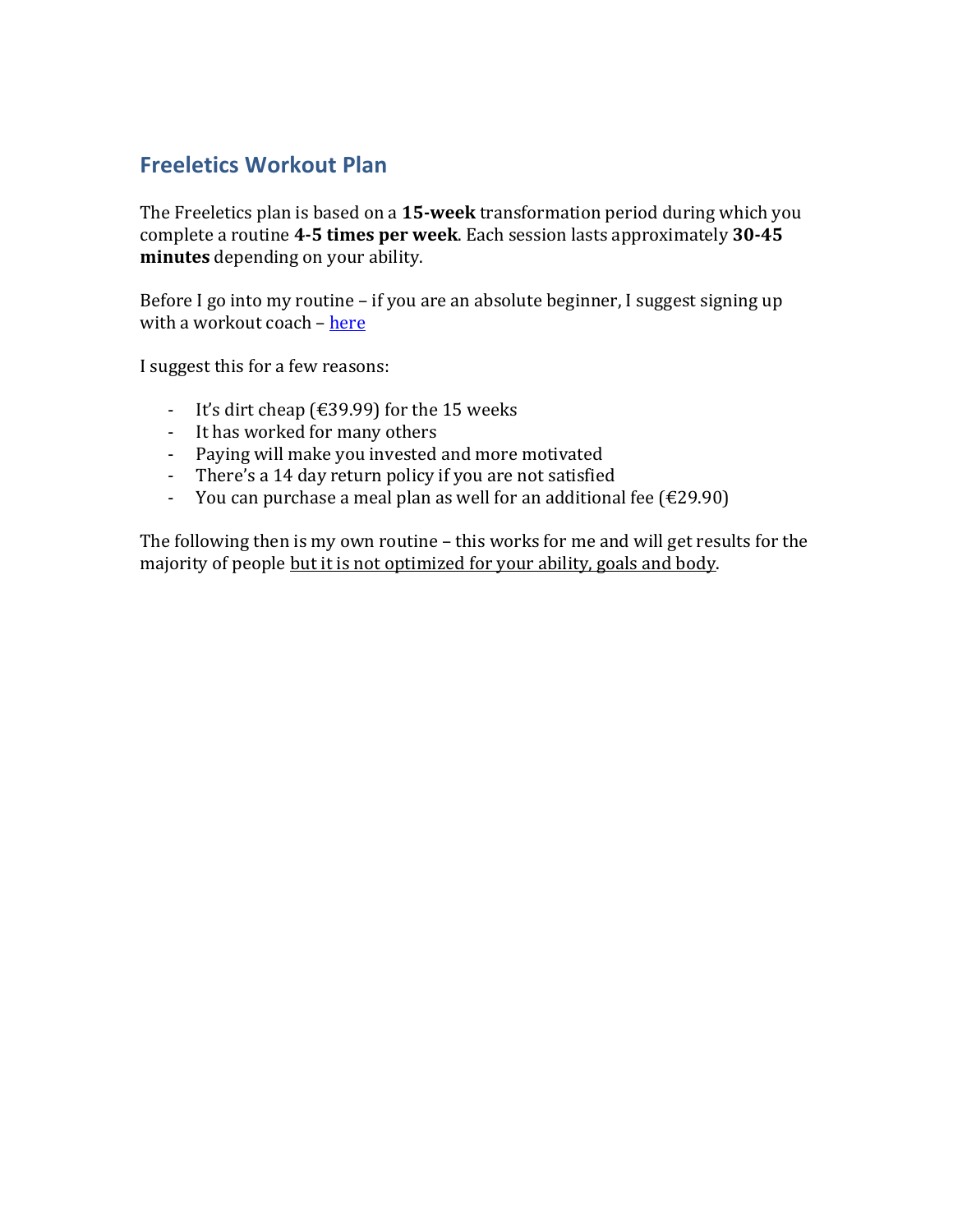# **Freeletics Workout Plan**

The Freeletics plan is based on a 15-week transformation period during which you complete a routine 4-5 times per week. Each session lasts approximately 30-45 **minutes** depending on your ability.

Before I go into my routine – if you are an absolute beginner, I suggest signing up with a workout coach – here

I suggest this for a few reasons:

- It's dirt cheap (€39.99) for the 15 weeks
- It has worked for many others
- Paying will make you invested and more motivated
- There's a 14 day return policy if you are not satisfied
- You can purchase a meal plan as well for an additional fee  $(E29.90)$

The following then is my own routine – this works for me and will get results for the majority of people but it is not optimized for your ability, goals and body.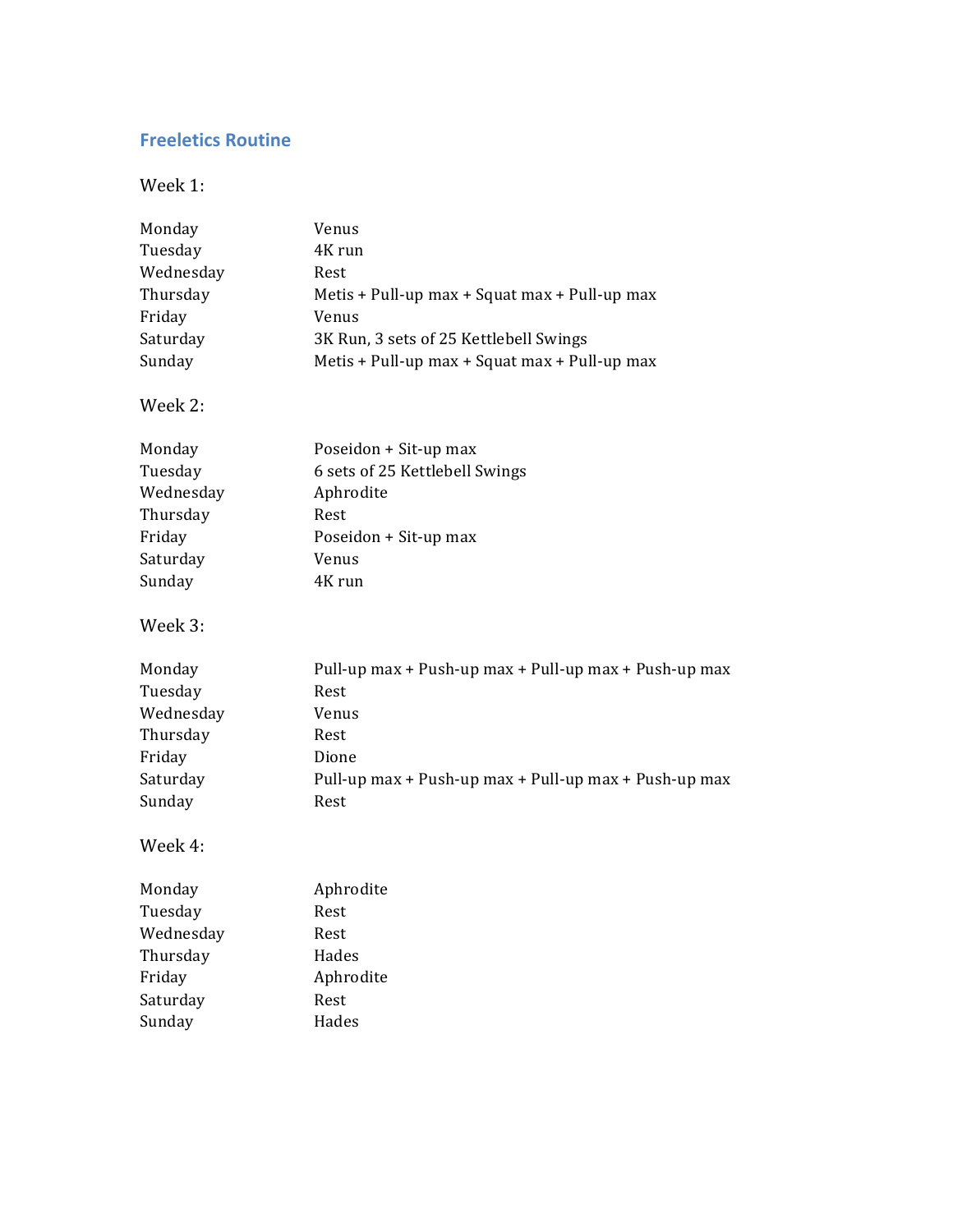## **Freeletics Routine**

Week 1:

| Monday    | Venus                                                 |  |  |
|-----------|-------------------------------------------------------|--|--|
| Tuesday   | 4K run                                                |  |  |
| Wednesday | Rest                                                  |  |  |
| Thursday  | Metis + Pull-up max + Squat max + Pull-up max         |  |  |
| Friday    | Venus                                                 |  |  |
| Saturday  | 3K Run, 3 sets of 25 Kettlebell Swings                |  |  |
| Sunday    | Metis + Pull-up max + Squat max + Pull-up max         |  |  |
| Week 2:   |                                                       |  |  |
| Monday    | Poseidon + Sit-up max                                 |  |  |
| Tuesday   | 6 sets of 25 Kettlebell Swings                        |  |  |
| Wednesday | Aphrodite                                             |  |  |
| Thursday  | Rest                                                  |  |  |
| Friday    | Poseidon + Sit-up max                                 |  |  |
| Saturday  | Venus                                                 |  |  |
| Sunday    | 4K run                                                |  |  |
| Week 3:   |                                                       |  |  |
| Monday    | Pull-up max + Push-up max + Pull-up max + Push-up max |  |  |
| Tuesday   | Rest                                                  |  |  |
| Wednesday | Venus                                                 |  |  |
| Thursday  | Rest                                                  |  |  |
| Friday    | Dione                                                 |  |  |
| Saturday  | Pull-up max + Push-up max + Pull-up max + Push-up max |  |  |
| Sunday    | Rest                                                  |  |  |
| Week 4:   |                                                       |  |  |
| Monday    | Aphrodite                                             |  |  |
| Tuesday   | Rest                                                  |  |  |
| Wednesday | Rest                                                  |  |  |
| Thursday  | Hades                                                 |  |  |
| Friday    | Aphrodite                                             |  |  |
| Saturday  | Rest                                                  |  |  |
| Sunday    | Hades                                                 |  |  |
|           |                                                       |  |  |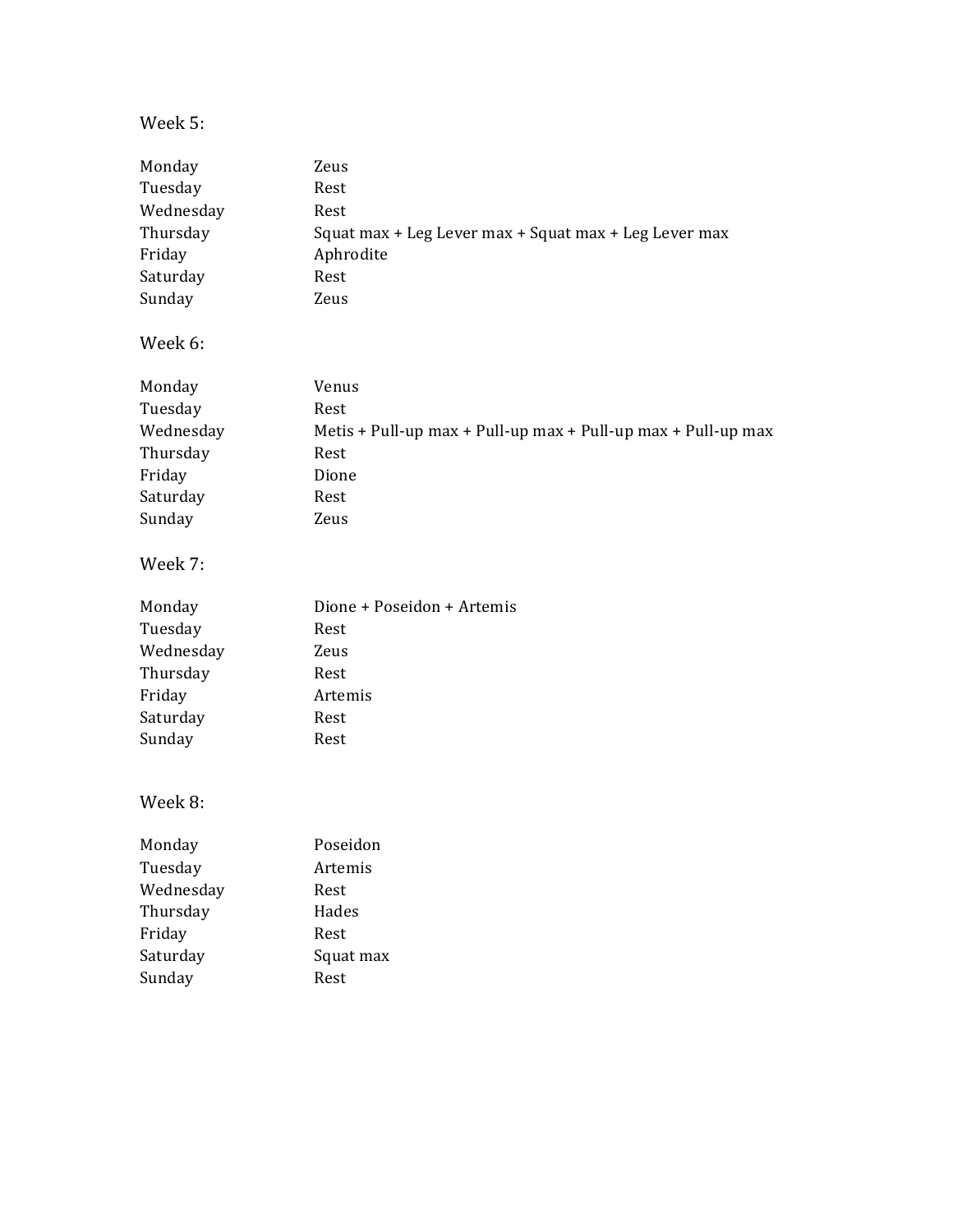### Week 5:

| Monday    | Zeus                                                          |
|-----------|---------------------------------------------------------------|
| Tuesday   | Rest                                                          |
| Wednesday | Rest                                                          |
| Thursday  | Squat max + Leg Lever max + Squat max + Leg Lever max         |
| Friday    | Aphrodite                                                     |
| Saturday  | Rest                                                          |
| Sunday    | Zeus                                                          |
| Week 6:   |                                                               |
| Monday    | Venus                                                         |
| Tuesday   | Rest                                                          |
| Wednesday | Metis + Pull-up max + Pull-up max + Pull-up max + Pull-up max |
| Thursday  | Rest                                                          |
| Friday    | Dione                                                         |
| Saturday  | Rest                                                          |
| Sunday    | Zeus                                                          |
| Week 7:   |                                                               |
| Monday    | Dione + Poseidon + Artemis                                    |
| Tuesday   | Rest                                                          |
| Wednesday | Zeus                                                          |
| Thursday  | Rest                                                          |
| Friday    | Artemis                                                       |
|           |                                                               |
| Saturday  | Rest                                                          |
| Sunday    | Rest                                                          |
| Week 8:   |                                                               |
| Monday    | Poseidon                                                      |
| Tuesday   | Artemis                                                       |
| Wednesday | Rest                                                          |
| Thursday  | Hades                                                         |
| Friday    | Rest                                                          |
| Saturday  | Squat max                                                     |
| Sunday    | Rest                                                          |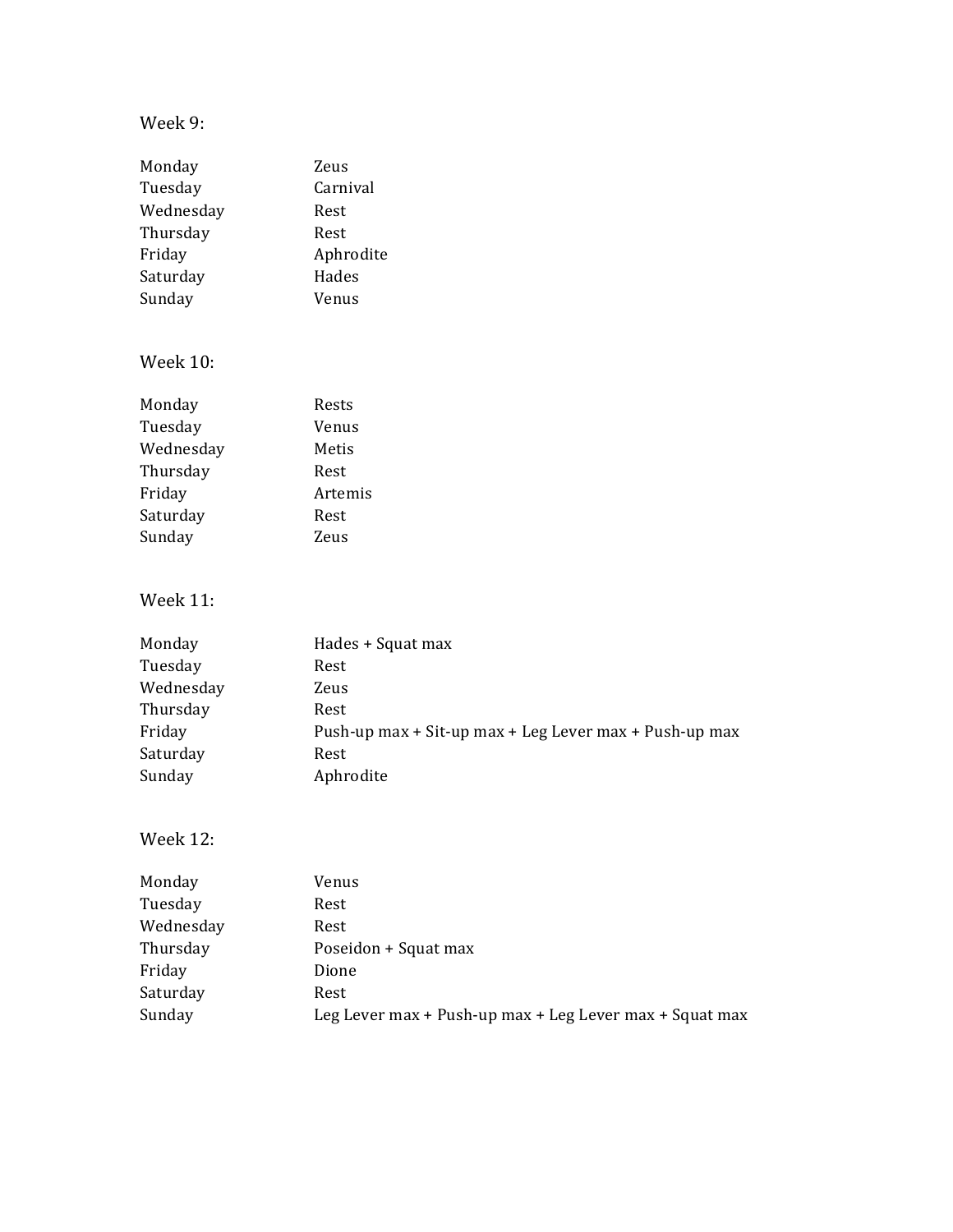### Week 9:

| Monday<br>Tuesday<br>Wednesday<br>Thursday<br>Friday<br>Saturday<br>Sunday | Zeus<br>Carnival<br>Rest<br>Rest<br>Aphrodite<br>Hades<br>Venus |
|----------------------------------------------------------------------------|-----------------------------------------------------------------|
| <b>Week 10:</b>                                                            |                                                                 |
| Monday                                                                     | Rests                                                           |
| Tuesday                                                                    | Venus                                                           |
| Wednesday                                                                  | Metis                                                           |
| Thursday                                                                   | Rest                                                            |
| Friday                                                                     | Artemis                                                         |
| Saturday                                                                   | Rest                                                            |
| Sunday                                                                     | Zeus                                                            |
| <b>Week 11:</b>                                                            |                                                                 |
| Monday                                                                     | Hades + Squat max                                               |
| Tuesday                                                                    | Rest                                                            |
| Wednesday                                                                  | Zeus                                                            |
| Thursday                                                                   | Rest                                                            |
| Friday                                                                     | Push-up max + Sit-up max + Leg Lever max + Push-up max          |
| Saturday                                                                   | Rest                                                            |
| Sunday                                                                     | Aphrodite                                                       |
| <b>Week 12:</b>                                                            |                                                                 |
| Monday                                                                     | Venus                                                           |
| Tuesday                                                                    | Rest                                                            |
| Wednesday                                                                  | Rest                                                            |

| Wednesday | Rest                                                    |
|-----------|---------------------------------------------------------|
| Thursday  | Poseidon + Squat max                                    |
| Friday    | Dione                                                   |
| Saturday  | Rest                                                    |
| Sunday    | Leg Lever max + Push-up max + Leg Lever max + Squat max |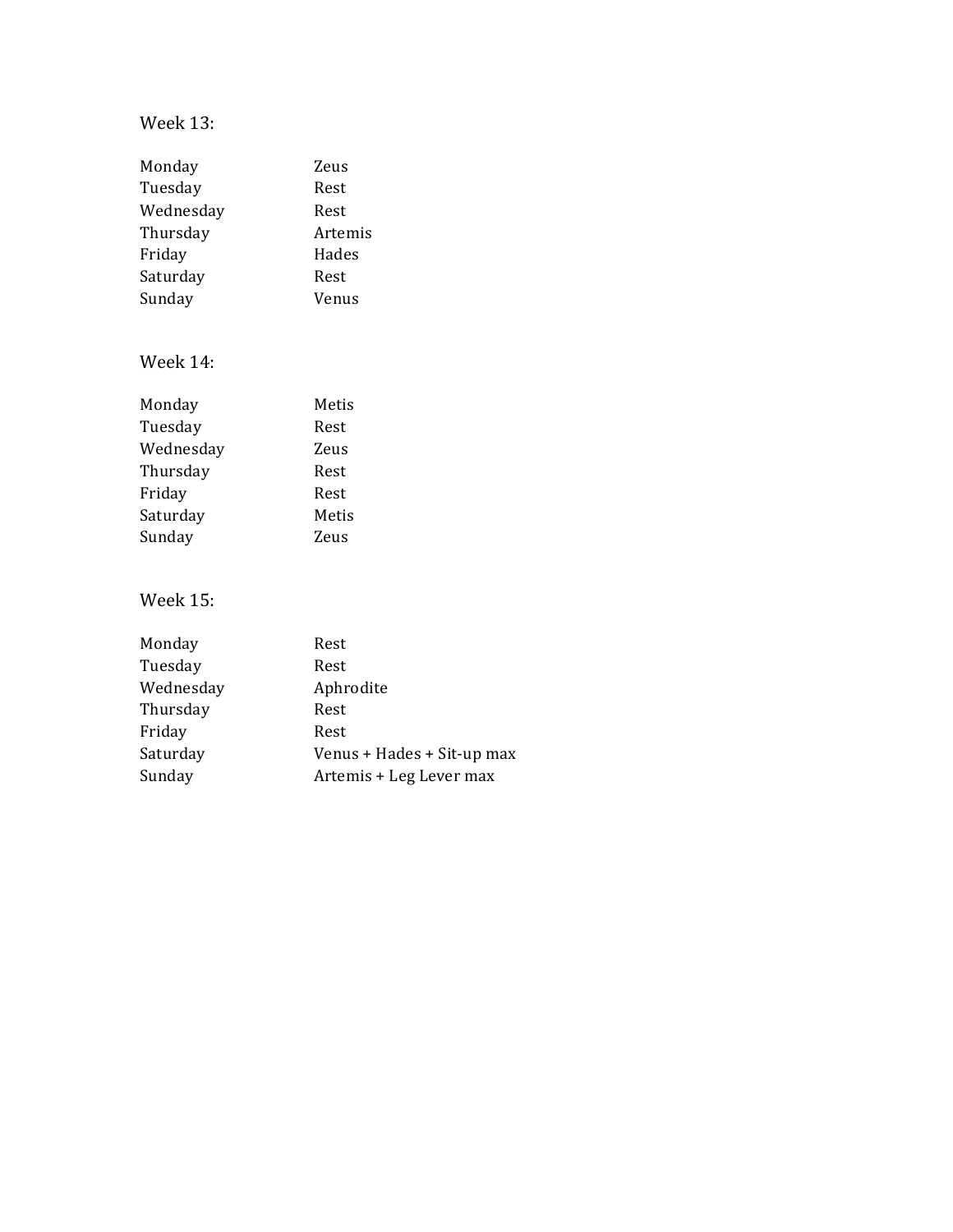### Week 13:

| Monday    | Zeus    |
|-----------|---------|
| Tuesday   | Rest    |
| Wednesday | Rest    |
| Thursday  | Artemis |
| Friday    | Hades   |
| Saturday  | Rest    |
| Sunday    | Venus   |
|           |         |

### Week 14:

| Monday    | Metis |
|-----------|-------|
| Tuesday   | Rest  |
| Wednesday | Zeus  |
| Thursday  | Rest  |
| Friday    | Rest  |
| Saturday  | Metis |
| Sunday    | Zeus  |
|           |       |

### Week 15:

| Monday    | Rest                       |
|-----------|----------------------------|
| Tuesday   | Rest                       |
| Wednesday | Aphrodite                  |
| Thursday  | Rest                       |
| Friday    | Rest                       |
| Saturday  | Venus + Hades + Sit-up max |
| Sunday    | Artemis + Leg Lever max    |
|           |                            |